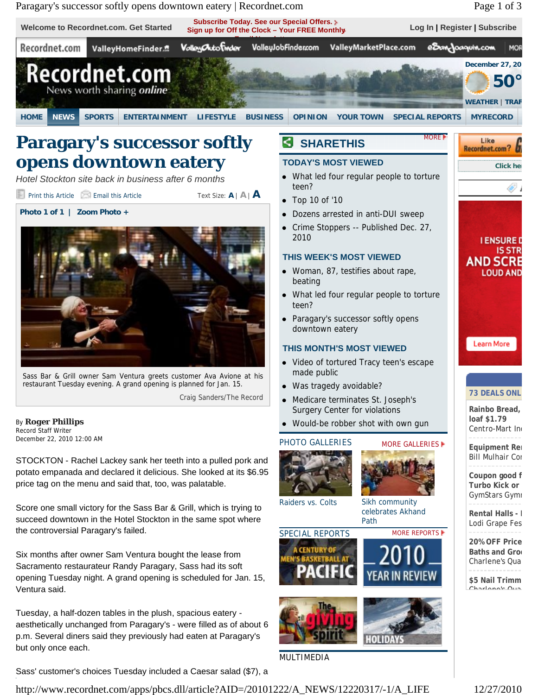

Tuesday, a half-dozen tables in the plush, spacious eatery aesthetically unchanged from Paragary's - were filled as of about 6 p.m. Several diners said they previously had eaten at Paragary's but only once each.

Sass' customer's choices Tuesday included a Caesar salad (\$7), a

http://www.recordnet.com/apps/pbcs.dll/article?AID=/20101222/A\_NEWS/12220317/-1/A\_LIFE 12/27/2010

MULTIMEDIA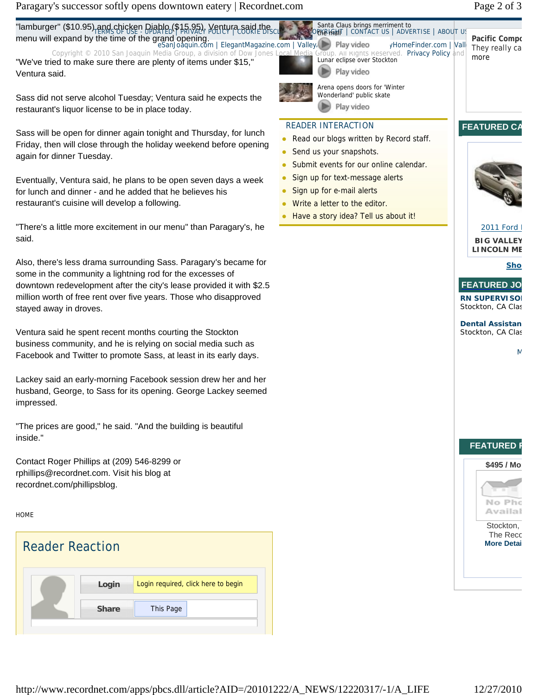Paragary's successor softly opens downtown eatery | Recordnet.com Page 2 of 3

Copyright © 2010 San Joaquin Media Group, a division of Dow Jones Local Media Group. All Rights Reserved. Privacy Policy and "We've tried to make sure there are plenty of items under \$15," Ventura said.

Sass did not serve alcohol Tuesday; Ventura said he expects the restaurant's liquor license to be in place today.

Sass will be open for dinner again tonight and Thursday, for lunch Friday, then will close through the holiday weekend before opening again for dinner Tuesday.

Eventually, Ventura said, he plans to be open seven days a week for lunch and dinner - and he added that he believes his restaurant's cuisine will develop a following.

"There's a little more excitement in our menu" than Paragary's, he said.

Also, there's less drama surrounding Sass. Paragary's became for some in the community a lightning rod for the excesses of downtown redevelopment after the city's lease provided it with \$2.5 million worth of free rent over five years. Those who disapproved stayed away in droves.

Ventura said he spent recent months courting the Stockton business community, and he is relying on social media such as Facebook and Twitter to promote Sass, at least in its early days.

Lackey said an early-morning Facebook session drew her and her husband, George, to Sass for its opening. George Lackey seemed impressed.

"The prices are good," he said. "And the building is beautiful inside."

Contact Roger Phillips at (209) 546-8299 or rphillips@recordnet.com. Visit his blog at recordnet.com/phillipsblog.

HOME





### READER INTERACTION

Read our blogs written by Record staff.

Santa Claus brings merriment to

OPYYEN FAIT | CONTACTUS | ADVERTISE | ABOUTUS

- Send us your snapshots.
- Submit events for our online calendar.
- Sign up for text-message alerts
- Sign up for e-mail alerts
- Write a letter to the editor.
- Have a story idea? Tell us about it!



#### 2011 Ford I **BIG VALLEY** LINCOLN ME

Sho



**Dental Assistan** Stockton, CA Clas





The Reco **More Detai** 

**Pacific Compo** They really ca

more